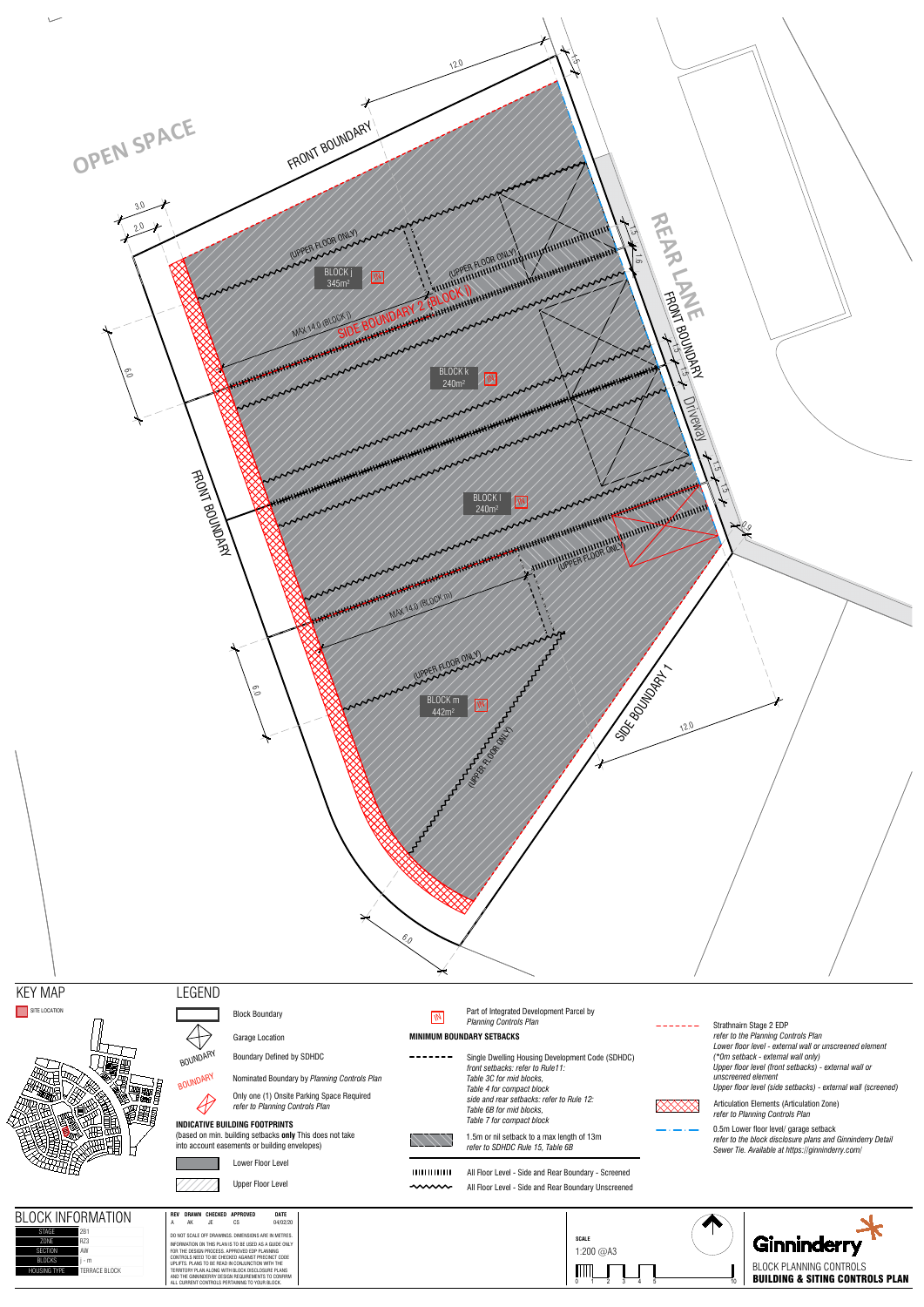



## LEGEND







BOUNDARY Boundary Defined by SDHDC<br>BOUNDARY Nominated Boundary by Plant

Nominated Boundary by Planning Controls Plan



Part of Integrated Development Parcel by *Planning Controls Planning* 

## **INDICATIVE BUILDING FOOTPRINTS**

(based on min. building setbacks **only** This does not take into account easements or building envelopes)

Lower Floor Level



Upper Floor Level

# **BLOCK INFORMATION**

### **MINIMUM BOUNDARY SETBACKS**

 $- - - - - - -$ Single Dwelling Housing Development Code (SDHDC) *front setbacks: refer to Rule11: Table 3C for mid blocks, Table 4 for compact block side and rear setbacks: refer to Rule 12: Table 6B for mid blocks, Table 7 for compact block*

All Floor Level - Side and Rear Boundary Unscreened



1.5m or nil setback to a max length of 13m *refer to SDHDC Rule 15, Table 6B*

нишин All Floor Level - Side and Rear Boundary - Screened  $\sim$   $\sim$ 

Articulation Elements (Articulation Zone) *refer to Planning Controls Plan*

Only one (1) Onsite Parking Space Required *refer to Planning Controls Plan*

| CK INFORMATION              | CHECKED<br>DATE<br><b>DRAWN</b><br>APPROVED<br><b>REV</b><br>04/02/20<br>АK<br>JF<br>CS<br>А           |
|-----------------------------|--------------------------------------------------------------------------------------------------------|
| 2 <sub>B1</sub><br>STAGF    | DO NOT SCALE OFF DRAWINGS. DIMENSIONS ARE IN METRES.                                                   |
| R73                         | INFORMATION ON THIS PLAN IS TO BE USED AS A GUIDE ONLY                                                 |
| AW                          | FOR THE DESIGN PROCESS. APPROVED EDP PLANNING                                                          |
| i - m                       | CONTROLS NEED TO BE CHECKED AGAINST PRECINCT CODE<br>UPLIFTS. PLANS TO BE READ IN CONJUNCTION WITH THE |
| TERRACE BI OCK<br>SING TYPF | TERRITORY PLAN ALONG WITH BLOCK DISCLOSURE PLANS.                                                      |
|                             | AND THE GINNINDERRY DESIGN REQUIREMENTS TO CONFIRM<br>ALL CURRENT CONTROLS PERTAINING TO YOUR BLOCK.   |

| <b>STAGF</b>        | 2 <sub>B1</sub>      |
|---------------------|----------------------|
| 70NF                | R73                  |
| <b>SECTION</b>      | AW                   |
| <b>BI OCKS</b>      | - m                  |
| <b>HOUSING TYPE</b> | <b>TFRRACF BIOCK</b> |
|                     |                      |

Strathnairn Stage 2 EDP . . . . . . . . *refer to the Planning Controls Plan Lower floor level - external wall or unscreened element (\*0m setback - external wall only) Upper floor level (front setbacks) - external wall or unscreened element Upper floor level (side setbacks) - external wall (screened)*



0.5m Lower floor level/ garage setback

*refer to the block disclosure plans and Ginninderry Detail Sewer Tie. Available at https://ginninderry.com/*